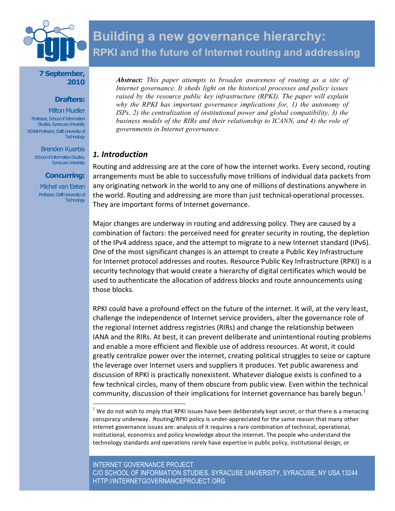

# **Building a new governance hierarchy: RPKI and the future of Internet routing and addressing**

#### **7 September, 2010**

#### **Drafters:**

**Milton Mueller** Professor, School of Information Studies, Syracuse University XS4All Professor, Delft University of **Technology** 

Brenden Kuerbis School of Information Studies, Syracuse University

## **Concurring:**

Michel van Eeten Professor, Delft University of **Technology** 

*Abstract: This paper attempts to broaden awareness of routing as a site of Internet governance. It sheds light on the historical processes and policy issues raised by the resource public key infrastructure (RPKI). The paper will explain why the RPKI has important governance implications for, 1) the autonomy of ISPs, 2) the centralization of institutional power and global compatibility, 3) the business models of the RIRs and their relationship to ICANN, and 4) the role of governments in Internet governance.*

## *1.
Introduction*

Routing and addressing are at the core of how the internet works. Every second, routing arrangements must be able to successfully move trillions of individual data packets from any originating network in the world to any one of millions of destinations anywhere in the
world.
Routing
and
addressing
are
more
than
just
technical‐operational
processes. They
are
important
forms
of
Internet
governance.

Major changes are underway in routing and addressing policy. They are caused by a combination
of
factors:
the
perceived
need
for
greater
security
in
routing,
the
depletion of the IPv4 address space, and the attempt to migrate to a new Internet standard (IPv6). One of the most significant changes is an attempt to create a Public Key Infrastructure for Internet protocol addresses and routes. Resource Public Key Infrastructure (RPKI) is a security technology that would create a hierarchy of digital certificates which would be used to authenticate the allocation of address blocks and route announcements using those
blocks.

RPKI could have a profound effect on the future of the internet. It will, at the very least, challenge
the
independence
of
Internet
service
providers,
alter
the
governance
role
of the
regional
Internet
address
registries
(RIRs)
and
change
the
relationship
between IANA
and
the
RIRs.
At
best,
it
can
prevent
deliberate
and
unintentional
routing
problems and
enable
a
more
efficient
and
flexible
use
of
address
resources.
At
worst,
it
could greatly
centralize
power
over
the
internet,
creating
political
struggles
to
seize
or
capture the leverage over Internet users and suppliers it produces. Yet public awareness and discussion of RPKI is practically nonexistent. Whatever dialogue exists is confined to a few technical circles, many of them obscure from public view. Even within the technical community, discussion of their implications for Internet governance has barely begun.<sup>1</sup>

<sup>&</sup>lt;sup>1</sup> We do not wish to imply that RPKI issues have been deliberately kept secret, or that there is a menacing conspiracy underway. Routing/RPKI policy is under-appreciated for the same reason that many other internet governance issues are: analysis of it requires a rare combination of technical, operational, institutional, economics and policy knowledge about the internet. The people who understand the technology standards and operations rarely have expertise in public policy, institutional design, or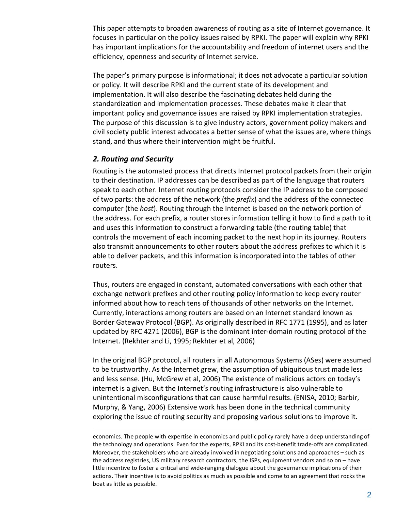This
paper
attempts
to
broaden
awareness
of
routing
as
a
site
of
Internet
governance.
It focuses in particular on the policy issues raised by RPKI. The paper will explain why RPKI has important implications for the accountability and freedom of internet users and the efficiency,
openness
and
security
of
Internet
service.

The
paper's
primary
purpose
is
informational;
it
does
not
advocate
a
particular
solution or
policy.
It
will
describe
RPKI
and
the
current
state
of
its
development
and implementation. It will also describe the fascinating debates held during the standardization and implementation processes. These debates make it clear that important policy and governance issues are raised by RPKI implementation strategies. The purpose of this discussion is to give industry actors, government policy makers and civil
society
public
interest
advocates
a
better
sense
of
what
the
issues
are,
where
things stand, and thus where their intervention might be fruitful.

## *2. Routing
and
Security*

 $\overline{a}$ 

Routing is the automated process that directs Internet protocol packets from their origin to their destination. IP addresses can be described as part of the language that routers speak
to
each
other.
Internet
routing
protocols
consider
the
IP
address
to
be
composed of two parts: the address of the network (the *prefix*) and the address of the connected computer (the *host*). Routing through the Internet is based on the network portion of the address. For each prefix, a router stores information telling it how to find a path to it and
uses
this
information
to
construct
a
forwarding
table
(the
routing
table)
that controls the movement of each incoming packet to the next hop in its journey. Routers also transmit announcements to other routers about the address prefixes to which it is able to deliver packets, and this information is incorporated into the tables of other routers.

Thus,
routers
are
engaged
in
constant,
automated
conversations
with
each
other
that exchange network prefixes and other routing policy information to keep every router informed about how to reach tens of thousands of other networks on the Internet. Currently, interactions among routers are based on an Internet standard known as Border Gateway Protocol (BGP). As originally described in RFC 1771 (1995), and as later updated by RFC 4271 (2006), BGP is the dominant inter-domain routing protocol of the Internet.
(Rekhter
and
Li,
1995;
Rekhter
et
al,
2006)

In
the
original
BGP
protocol,
all
routers
in
all
Autonomous
Systems
(ASes)
were
assumed to be trustworthy. As the Internet grew, the assumption of ubiquitous trust made less and
less
sense.
(Hu,
McGrew
et
al,
2006)
The
existence
of
malicious
actors
on
today's internet is a given. But the Internet's routing infrastructure is also vulnerable to unintentional misconfigurations that can cause harmful results. (ENISA, 2010; Barbir, Murphy,
&
Yang,
2006)
Extensive
work
has
been
done
in
the
technical
community exploring the issue of routing security and proposing various solutions to improve it.

economics. The people with expertise in economics and public policy rarely have a deep understanding of the technology and operations. Even for the experts, RPKI and its cost-benefit trade-offs are complicated. Moreover, the stakeholders who are already involved in negotiating solutions and approaches – such as the address registries, US military research contractors, the ISPs, equipment vendors and so on - have little incentive to foster a critical and wide-ranging dialogue about the governance implications of their actions. Their incentive is to avoid politics as much as possible and come to an agreement that rocks the boat
as
little
as
possible.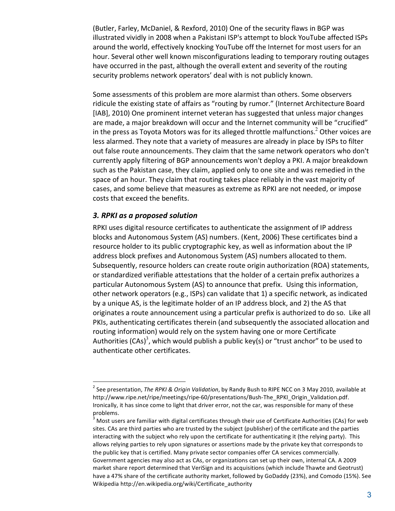(Butler,
Farley,
McDaniel,
&
Rexford,
2010)
One
of
the
security
flaws
in
BGP
was illustrated vividly in 2008 when a Pakistani ISP's attempt to block YouTube affected ISPs around the world, effectively knocking YouTube off the Internet for most users for an hour. Several other well known misconfigurations leading to temporary routing outages have occurred in the past, although the overall extent and severity of the routing security problems network operators' deal with is not publicly known.

Some
assessments
of
this
problem
are
more
alarmist
than
others.
Some
observers ridicule the existing state of affairs as "routing by rumor." (Internet Architecture Board [IAB], 2010) One prominent internet veteran has suggested that unless major changes are made, a major breakdown will occur and the Internet community will be "crucified" in the press as Toyota Motors was for its alleged throttle malfunctions. $^2$  Other voices are less alarmed. They note that a variety of measures are already in place by ISPs to filter out
false
route
announcements.
They
claim
that
the
same
network
operators
who
don't currently
apply
filtering
of
BGP
announcements
won't
deploy
a
PKI.
A
major
breakdown such as the Pakistan case, they claim, applied only to one site and was remedied in the space of an hour. They claim that routing takes place reliably in the vast majority of cases,
and
some
believe
that
measures
as
extreme
as
RPKI
are
not
needed,
or
impose costs
that
exceed
the
benefits.

## *3.
RPKI
as
a
proposed
solution*

RPKI uses digital resource certificates to authenticate the assignment of IP address blocks
and
Autonomous
System
(AS)
numbers.
(Kent,
2006)
These
certificates
bind
a resource holder to its public cryptographic key, as well as information about the IP address block prefixes and Autonomous System (AS) numbers allocated to them. Subsequently, resource holders can create route origin authorization (ROA) statements, or
standardized
verifiable
attestations
that
the
holder
of
a
certain
prefix
authorizes
a particular
Autonomous
System
(AS)
to
announce
that
prefix.

Using
this
information, other
network
operators
(e.g.,
ISPs)
can
validate
that
1)
a
specific
network,
as
indicated by a unique AS, is the legitimate holder of an IP address block, and 2) the AS that originates a route announcement using a particular prefix is authorized to do so. Like all PKIs, authenticating certificates therein (and subsequently the associated allocation and routing information) would rely on the system having one or more Certificate Authorities (CAs)<sup>3</sup>, which would publish a public key(s) or "trust anchor" to be used to authenticate
other
certificates.

 $\frac{1}{2}$ <sup>2</sup> See presentation, The RPKI & Origin Validation, by Randy Bush to RIPE NCC on 3 May 2010, available at http://www.ripe.net/ripe/meetings/ripe‐60/presentations/Bush‐The\_RPKI\_Origin\_Validation.pdf. Ironically, it has since come to light that driver error, not the car, was responsible for many of these problems.

<sup>3</sup> Most users are familiar with digital certificates through their use of Certificate Authorities (CAs) for web sites. CAs are third parties who are trusted by the subject (publisher) of the certificate and the parties interacting with the subject who rely upon the certificate for authenticating it (the relying party). This allows
relying
parties
to
rely
upon
signatures
or
assertions
made
by
the
private
key
that
corresponds
to the
public
key
that
is
certified.
Many
private
sector
companies
offer
CA
services
commercially. Government agencies may also act as CAs, or organizations can set up their own, internal CA. A 2009 market share report determined that VeriSign and its acquisitions (which include Thawte and Geotrust) have a 47% share of the certificate authority market, followed by GoDaddy (23%), and Comodo (15%). See Wikipedia
http://en.wikipedia.org/wiki/Certificate\_authority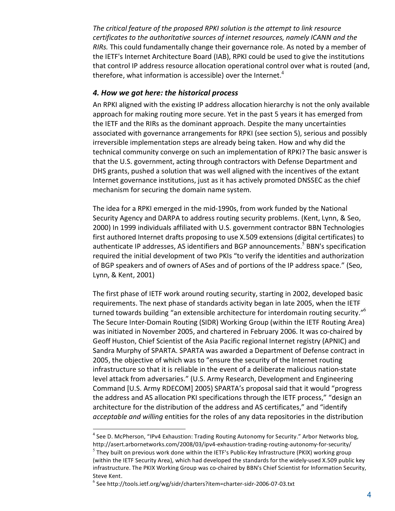The critical feature of the proposed RPKI solution is the attempt to link resource certificates to the authoritative sources of internet resources, namely ICANN and the RIRs. This could fundamentally change their governance role. As noted by a member of the
IETF's
Internet
Architecture
Board
(IAB),
RPKI
could
be
used
to
give
the
institutions that control IP address resource allocation operational control over what is routed (and, therefore, what information is accessible) over the Internet.<sup>4</sup>

## *4.
How
we
got
here:
the
historical
process*

An RPKI aligned with the existing IP address allocation hierarchy is not the only available approach for making routing more secure. Yet in the past 5 years it has emerged from the IETF and the RIRs as the dominant approach. Despite the many uncertainties associated
with
governance
arrangements
for
RPKI
(see
section
5),
serious
and
possibly irreversible
implementation
steps
are
already
being
taken.
How
and
why
did
the technical
community
converge
on
such
an
implementation
of
RPKI?
The
basic
answer
is that the U.S. government, acting through contractors with Defense Department and DHS grants, pushed a solution that was well aligned with the incentives of the extant Internet governance institutions, just as it has actively promoted DNSSEC as the chief mechanism
for
securing
the
domain
name
system.

The idea for a RPKI emerged in the mid-1990s, from work funded by the National Security Agency and DARPA to address routing security problems. (Kent, Lynn, & Seo, 2000)
In
1999
individuals
affiliated
with
U.S.
government
contractor
BBN
Technologies first authored Internet drafts proposing to use X.509 extensions (digital certificates) to authenticate IP addresses, AS identifiers and BGP announcements.<sup>5</sup> BBN's specification required the initial development of two PKIs "to verify the identities and authorization of BGP speakers and of owners of ASes and of portions of the IP address space." (Seo, Lynn,
&
Kent,
2001)

The first phase of IETF work around routing security, starting in 2002, developed basic requirements. The next phase of standards activity began in late 2005, when the IETF turned towards building "an extensible architecture for interdomain routing security."<sup>6</sup> The
Secure
Inter‐Domain
Routing
(SIDR)
Working
Group
(within
the
IETF
Routing
Area) was initiated in November 2005, and chartered in February 2006. It was co-chaired by Geoff Huston, Chief Scientist of the Asia Pacific regional Internet registry (APNIC) and Sandra
Murphy
of
SPARTA.
SPARTA
was
awarded
a
Department
of
Defense
contract
in 2005, the objective of which was to "ensure the security of the Internet routing infrastructure so that it is reliable in the event of a deliberate malicious nation-state level
attack
from
adversaries."
(U.S.
Army
Research,
Development
and
Engineering Command
[U.S.
Army
RDECOM]
2005)
SPARTA's
proposal
said
that
it
would
"progress the address and AS allocation PKI specifications through the IETF process," "design an architecture for the distribution of the address and AS certificates," and "identify acceptable and willing entities for the roles of any data repositories in the distribution

 $\frac{1}{4}$ <sup>4</sup> See D. McPherson, "IPv4 Exhaustion: Trading Routing Autonomy for Security." Arbor Networks blog, http://asert.arbornetworks.com/2008/03/ipv4‐exhaustion‐trading‐routing‐autonomy‐for‐security/

<sup>&</sup>lt;sup>5</sup> They built on previous work done within the IETF's Public-Key Infrastructure (PKIX) working group (within
the
IETF
Security
Area),
which
had
developed
the
standards
for
the
widely‐used
X.509
public
key infrastructure. The PKIX Working Group was co-chaired by BBN's Chief Scientist for Information Security, Steve
Kent.

<sup>6</sup> See
http://tools.ietf.org/wg/sidr/charters?item=charter‐sidr‐2006‐07‐03.txt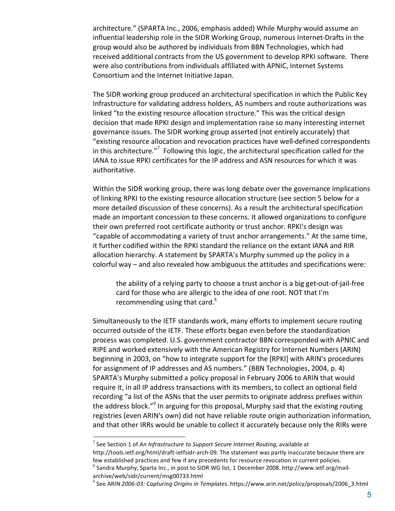architecture."
(SPARTA
Inc.,
2006,
emphasis
added)
While
Murphy
would
assume
an influential leadership role in the SIDR Working Group, numerous Internet-Drafts in the group
would
also
be
authored
by
individuals
from
BBN
Technologies,
which
had received additional contracts from the US government to develop RPKI software. There were also contributions from individuals affiliated with APNIC, Internet Systems Consortium
and
the
Internet
Initiative
Japan.

The
SIDR
working
group
produced
an
architectural
specification
in
which
the
Public
Key Infrastructure for validating address holders, AS numbers and route authorizations was linked "to the existing resource allocation structure." This was the critical design decision that made RPKI design and implementation raise so many interesting internet governance
issues.
The
SIDR
working
group
asserted
(not
entirely
accurately)
that "existing
resource
allocation
and
revocation
practices
have
well‐defined
correspondents in this architecture."<sup>7</sup> Following this logic, the architectural specification called for the IANA to issue RPKI certificates for the IP address and ASN resources for which it was authoritative.

Within the SIDR working group, there was long debate over the governance implications of linking RPKI to the existing resource allocation structure (see section 5 below for a more detailed discussion of these concerns). As a result the architectural specification made
an
important
concession
to
these
concerns.
It
allowed
organizations
to
configure their own preferred root certificate authority or trust anchor. RPKI's design was "capable of accommodating a variety of trust anchor arrangements." At the same time, it further codified within the RPKI standard the reliance on the extant IANA and RIR allocation hierarchy. A statement by SPARTA's Murphy summed up the policy in a colorful
way
–
and
also
revealed
how
ambiguous
the
attitudes
and
specifications
were:

the ability of a relying party to choose a trust anchor is a big get-out-of-jail-free card
for
those
who
are
allergic
to
the
idea
of
one
root.
NOT
that
I'm recommending using that card. $8<sup>8</sup>$ 

Simultaneously to the IETF standards work, many efforts to implement secure routing occurred
outside
of
the
IETF.
These
efforts
began
even
before
the
standardization process
was
completed.
U.S.
government
contractor
BBN
corresponded
with
APNIC
and RIPE
and
worked
extensively
with
the
American
Registry
for
Internet
Numbers
(ARIN) beginning in 2003, on "how to integrate support for the [RPKI] with ARIN's procedures for assignment of IP addresses and AS numbers." (BBN Technologies, 2004, p. 4) SPARTA's Murphy submitted a policy proposal in February 2006 to ARIN that would require it, in all IP address transactions with its members, to collect an optional field recording "a list of the ASNs that the user permits to originate address prefixes within the address block."<sup>9</sup> In arguing for this proposal, Murphy said that the existing routing registries (even ARIN's own) did not have reliable route origin authorization information, and that other IRRs would be unable to collect it accurately because only the RIRs were

-<br>7 <sup>7</sup> See Section 1 of An Infrastructure to Support Secure Internet Routing, available at

http://tools.ietf.org/html/draft-ietfsidr-arch-09. The statement was partly inaccurate because there are few established practices and few if any precedents for resource revocation in current policies.

 $^8$  Sandra Murphy, Sparta Inc., in post to SIDR WG list, 1 December 2008. http://www.ietf.org/mailarchive/web/sidr/current/msg00733.html

<sup>&</sup>lt;sup>9</sup> See ARIN 2006-03: *Capturing Origins in Templates*. https://www.arin.net/policy/proposals/2006\_3.html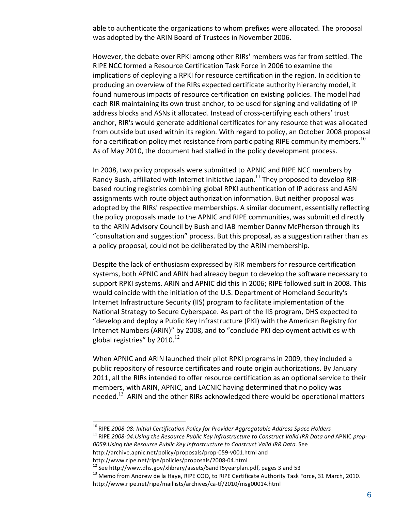able to authenticate the organizations to whom prefixes were allocated. The proposal was
adopted
by
the
ARIN
Board
of
Trustees
in
November
2006.

However, the debate over RPKI among other RIRs' members was far from settled. The RIPE NCC formed a Resource Certification Task Force in 2006 to examine the implications of deploying a RPKI for resource certification in the region. In addition to producing an overview of the RIRs expected certificate authority hierarchy model, it found numerous impacts of resource certification on existing policies. The model had each RIR maintaining its own trust anchor, to be used for signing and validating of IP address blocks and ASNs it allocated. Instead of cross-certifying each others' trust anchor, RIR's would generate additional certificates for any resource that was allocated from outside but used within its region. With regard to policy, an October 2008 proposal for a certification policy met resistance from participating RIPE community members.<sup>10</sup> As
of
May
2010,
the
document
had
stalled
in
the
policy
development
process.

In 2008, two policy proposals were submitted to APNIC and RIPE NCC members by Randy Bush, affiliated with Internet Initiative Japan.<sup>11</sup> They proposed to develop RIRbased routing registries combining global RPKI authentication of IP address and ASN assignments with route object authorization information. But neither proposal was adopted by the RIRs' respective memberships. A similar document, essentially reflecting the
policy
proposals
made
to
the
APNIC
and
RIPE
communities,
was
submitted
directly to the ARIN Advisory Council by Bush and IAB member Danny McPherson through its "consultation and suggestion" process. But this proposal, as a suggestion rather than as a policy proposal, could not be deliberated by the ARIN membership.

Despite the lack of enthusiasm expressed by RIR members for resource certification systems, both APNIC and ARIN had already begun to develop the software necessary to support RPKI systems. ARIN and APNIC did this in 2006; RIPE followed suit in 2008. This would coincide with the initiation of the U.S. Department of Homeland Security's Internet Infrastructure Security (IIS) program to facilitate implementation of the National Strategy to Secure Cyberspace. As part of the IIS program, DHS expected to "develop
and
deploy
a
Public
Key
Infrastructure
(PKI)
with
the
American
Registry
for Internet Numbers (ARIN)" by 2008, and to "conclude PKI deployment activities with global registries" by 2010. $12$ 

When APNIC and ARIN launched their pilot RPKI programs in 2009, they included a public repository of resource certificates and route origin authorizations. By January 2011, all the RIRs intended to offer resource certification as an optional service to their members, with ARIN, APNIC, and LACNIC having determined that no policy was needed.<sup>13</sup> ARIN and the other RIRs acknowledged there would be operational matters

<sup>&</sup>lt;sup>10</sup> RIPE 2008‐08: Initial Certification Policy for Provider Aggregatable Address Space Holders<br><sup>11</sup> RIPE 2008‐04:Using the Resource Public Key Infrastructure to Construct Valid IRR Data and APNIC prop‐

*<sup>0059:</sup>Using
the
Resource
Public
Key
Infrastructure
to
Construct
Valid
IRR
Data*.
See

http://archive.apnic.net/policy/proposals/prop‐059‐v001.html
and

http://www.ripe.net/ripe/policies/proposals/2008-04.html<br><sup>12</sup> See http://www.dhs.gov/xlibrary/assets/SandT5yearplan.pdf, pages 3 and 53<br><sup>13</sup> Memo from Andrew de la Haye, RIPE COO, to RIPE Certificate Authority Task Force, http://www.ripe.net/ripe/maillists/archives/ca‐tf/2010/msg00014.html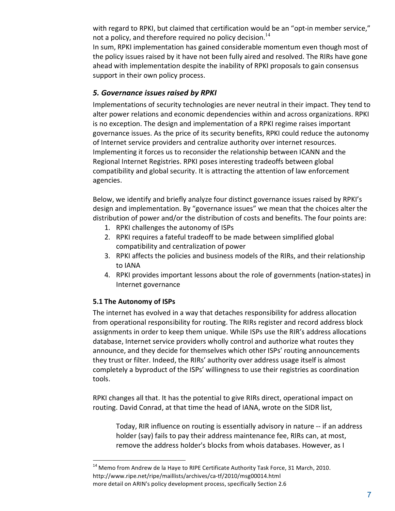with regard to RPKI, but claimed that certification would be an "opt-in member service," not a policy, and therefore required no policy decision.<sup>14</sup>

In sum, RPKI implementation has gained considerable momentum even though most of the policy issues raised by it have not been fully aired and resolved. The RIRs have gone ahead with implementation despite the inability of RPKI proposals to gain consensus support in their own policy process.

## *5.
Governance
issues
raised
by
RPKI*

Implementations of security technologies are never neutral in their impact. They tend to alter power relations and economic dependencies within and across organizations. RPKI is no exception. The design and implementation of a RPKI regime raises important governance issues. As the price of its security benefits, RPKI could reduce the autonomy of
Internet
service
providers
and
centralize
authority
over
internet
resources. Implementing it forces us to reconsider the relationship between ICANN and the Regional Internet Registries. RPKI poses interesting tradeoffs between global compatibility and global security. It is attracting the attention of law enforcement agencies.

Below, we identify and briefly analyze four distinct governance issues raised by RPKI's design
and
implementation.
By
"governance
issues"
we
mean
that
the
choices
alter
the distribution of power and/or the distribution of costs and benefits. The four points are:

- 1. RPKI
challenges
the
autonomy
of
ISPs
- 2. RPKI
requires
a
fateful
tradeoff
to
be
made
between
simplified
global compatibility
and
centralization
of
power
- 3. RPKI
affects
the
policies
and
business
models
of
the
RIRs,
and
their
relationship to
IANA
- 4. RPKI
provides
important
lessons
about
the
role
of
governments
(nation‐states)
in Internet
governance

## **5.1
The
Autonomy
of
ISPs**

The
internet
has
evolved
in
a
way
that
detaches
responsibility
for
address
allocation from operational responsibility for routing. The RIRs register and record address block assignments in order to keep them unique. While ISPs use the RIR's address allocations database, Internet service providers wholly control and authorize what routes they announce, and they decide for themselves which other ISPs' routing announcements they trust or filter. Indeed, the RIRs' authority over address usage itself is almost completely a byproduct of the ISPs' willingness to use their registries as coordination tools.

RPKI changes all that. It has the potential to give RIRs direct, operational impact on routing. David Conrad, at that time the head of IANA, wrote on the SIDR list,

Today, RIR influence on routing is essentially advisory in nature -- if an address holder (say) fails to pay their address maintenance fee, RIRs can, at most, remove
the
address
holder's
blocks
from
whois
databases.
However,
as
I

<sup>&</sup>lt;sup>14</sup> Memo from Andrew de la Haye to RIPE Certificate Authority Task Force, 31 March, 2010. http://www.ripe.net/ripe/maillists/archives/ca‐tf/2010/msg00014.html more detail on ARIN's policy development process, specifically Section 2.6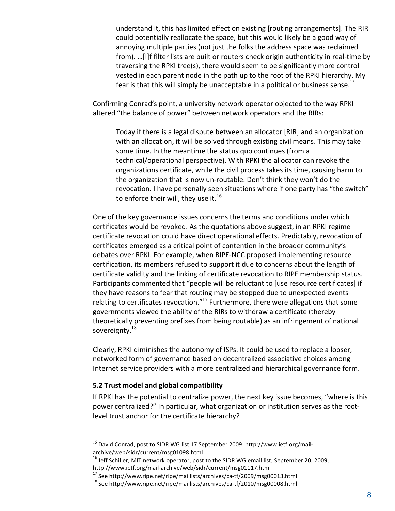understand it, this has limited effect on existing [routing arrangements]. The RIR could
potentially
reallocate
the
space,
but
this
would
likely
be
a
good
way
of annoying
multiple
parties
(not
just
the
folks
the
address
space
was
reclaimed from). ...[I]f filter lists are built or routers check origin authenticity in real-time by traversing
the
RPKI
tree(s),
there
would
seem
to
be
significantly
more
control vested in each parent node in the path up to the root of the RPKI hierarchy. My fear is that this will simply be unacceptable in a political or business sense.<sup>15</sup>

Confirming Conrad's point, a university network operator objected to the way RPKI altered "the balance of power" between network operators and the RIRs:

Today
if
there
is
a
legal
dispute
between
an
allocator
[RIR]
and
an
organization with an allocation, it will be solved through existing civil means. This may take some
time.
In
the
meantime
the
status
quo
continues
(from
a technical/operational
perspective).
With
RPKI
the
allocator
can
revoke
the organizations certificate, while the civil process takes its time, causing harm to the organization that is now un-routable. Don't think they won't do the revocation. I have personally seen situations where if one party has "the switch" to enforce their will, they use it. $16$ 

One of the key governance issues concerns the terms and conditions under which certificates
would
be
revoked.
As
the
quotations
above
suggest,
in
an
RPKI
regime certificate revocation could have direct operational effects. Predictably, revocation of certificates emerged as a critical point of contention in the broader community's debates over RPKI. For example, when RIPE-NCC proposed implementing resource certification, its members refused to support it due to concerns about the length of certificate validity and the linking of certificate revocation to RIPE membership status. Participants commented that "people will be reluctant to [use resource certificates] if they have reasons to fear that routing may be stopped due to unexpected events relating to certificates revocation."<sup>17</sup> Furthermore, there were allegations that some governments
viewed
the
ability
of
the
RIRs
to
withdraw
a
certificate
(thereby theoretically
preventing
prefixes
from
being
routable)
as
an
infringement
of
national sovereignty. $18$ 

Clearly, RPKI diminishes the autonomy of ISPs. It could be used to replace a looser, networked
form
of
governance
based
on
decentralized
associative
choices
among Internet
service
providers
with
a
more
centralized
and
hierarchical
governance
form.

## **5.2
Trust
model
and
global
compatibility**

If RPKI has the potential to centralize power, the next key issue becomes, "where is this power centralized?" In particular, what organization or institution serves as the rootlevel trust anchor for the certificate hierarchy?

<sup>&</sup>lt;sup>15</sup> David Conrad, post to SIDR WG list 17 September 2009. http://www.ietf.org/mailarchive/web/sidr/current/msg01098.html

<sup>&</sup>lt;sup>16</sup> Jeff Schiller, MIT network operator, post to the SIDR WG email list, September 20, 2009,

http://www.ietf.org/mail-archive/web/sidr/current/msg01117.html<br><sup>17</sup> See http://www.ripe.net/ripe/maillists/archives/ca-tf/2009/msg00013.html<br><sup>18</sup> See http://www.ripe.net/ripe/maillists/archives/ca-tf/2010/msg00008.html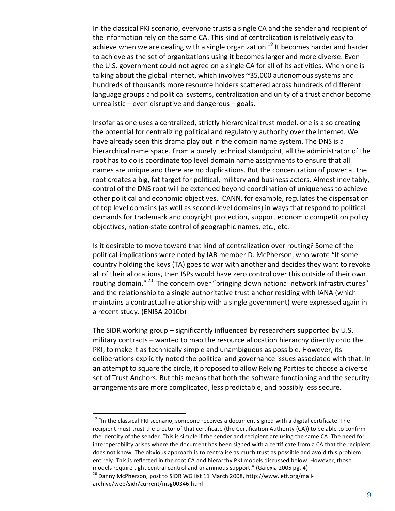In the classical PKI scenario, everyone trusts a single CA and the sender and recipient of the
information
rely
on
the
same
CA.
This
kind
of
centralization
is
relatively
easy
to achieve when we are dealing with a single organization.<sup>19</sup> It becomes harder and harder to achieve as the set of organizations using it becomes larger and more diverse. Even the U.S. government could not agree on a single CA for all of its activities. When one is talking about the global internet, which involves ~35,000 autonomous systems and hundreds
of
thousands
more
resource
holders
scattered
across
hundreds
of
different language groups and political systems, centralization and unity of a trust anchor become unrealistic – even disruptive and dangerous – goals.

Insofar as one uses a centralized, strictly hierarchical trust model, one is also creating the
potential
for
centralizing
political
and
regulatory
authority
over
the
Internet.
We have already seen this drama play out in the domain name system. The DNS is a hierarchical name space. From a purely technical standpoint, all the administrator of the root has to do is coordinate top level domain name assignments to ensure that all names are unique and there are no duplications. But the concentration of power at the root creates a big, fat target for political, military and business actors. Almost inevitably, control
of
the
DNS
root
will
be
extended
beyond
coordination
of
uniqueness
to
achieve other political and economic objectives. ICANN, for example, regulates the dispensation of top level domains (as well as second-level domains) in ways that respond to political demands for trademark and copyright protection, support economic competition policy objectives, nation-state control of geographic names, etc., etc.

Is it desirable to move toward that kind of centralization over routing? Some of the political implications were noted by IAB member D. McPherson, who wrote "If some country
holding
the
keys
(TA)
goes
to
war
with
another
and
decides
they
want
to
revoke all of their allocations, then ISPs would have zero control over this outside of their own routing domain."<sup>20</sup> The concern over "bringing down national network infrastructures" and the relationship to a single authoritative trust anchor residing with IANA (which maintains a contractual relationship with a single government) were expressed again in a
recent
study.
(ENISA
2010b)

The SIDR working group – significantly influenced by researchers supported by U.S. military
contracts
–
wanted
to
map
the
resource
allocation
hierarchy
directly
onto
the PKI, to make it as technically simple and unambiguous as possible. However, its deliberations explicitly noted the political and governance issues associated with that. In an attempt to square the circle, it proposed to allow Relying Parties to choose a diverse set of Trust Anchors. But this means that both the software functioning and the security arrangements are more complicated, less predictable, and possibly less secure.

<sup>&</sup>lt;sup>19</sup> "In the classical PKI scenario, someone receives a document signed with a digital certificate. The recipient must trust the creator of that certificate (the Certification Authority (CA)) to be able to confirm the identity of the sender. This is simple if the sender and recipient are using the same CA. The need for interoperability arises where the document has been signed with a certificate from a CA that the recipient does not know. The obvious approach is to centralise as much trust as possible and avoid this problem entirely. This is reflected in the root CA and hierarchy PKI models discussed below. However, those models require tight central control and unanimous support." (Galexia 2005 pg. 4)  $^{20}$  Danny McPherson, post to SIDR WG list 11 March 2008, http://www.ietf.org/mailarchive/web/sidr/current/msg00346.html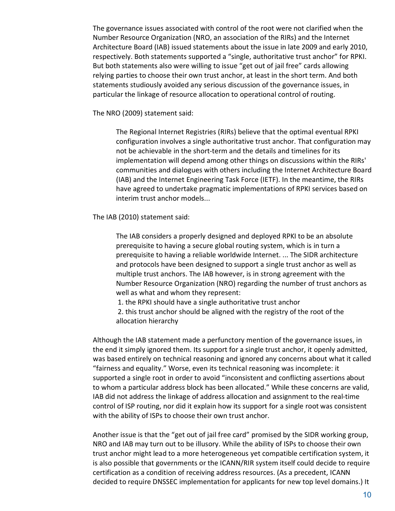The governance issues associated with control of the root were not clarified when the Number
Resource
Organization
(NRO,
an
association
of
the
RIRs)
and
the
Internet Architecture Board (IAB) issued statements about the issue in late 2009 and early 2010, respectively. Both statements supported a "single, authoritative trust anchor" for RPKI. But both statements also were willing to issue "get out of jail free" cards allowing relying parties to choose their own trust anchor, at least in the short term. And both statements studiously avoided any serious discussion of the governance issues, in particular the linkage of resource allocation to operational control of routing.

The
NRO
(2009)
statement
said:

The Regional Internet Registries (RIRs) believe that the optimal eventual RPKI configuration
involves
a
single
authoritative
trust
anchor.
That
configuration
may not be achievable in the short-term and the details and timelines for its implementation
will
depend
among
other
things
on
discussions
within
the
RIRs' communities
and
dialogues
with
others
including
the
Internet
Architecture
Board (IAB)
and
the
Internet
Engineering
Task
Force
(IETF).
In
the
meantime,
the
RIRs have agreed to undertake pragmatic implementations of RPKI services based on interim
trust
anchor
models...

The
IAB
(2010)
statement
said:

The
IAB
considers
a
properly
designed
and
deployed
RPKI
to
be
an
absolute prerequisite
to
having
a
secure
global
routing
system,
which
is
in
turn
a prerequisite to having a reliable worldwide Internet. ... The SIDR architecture and protocols have been designed to support a single trust anchor as well as multiple trust anchors. The IAB however, is in strong agreement with the Number
Resource
Organization
(NRO)
regarding
the
number
of
trust
anchors
as well
as
what
and
whom
they
represent:

- 1.
the
RPKI
should
have
a
single
authoritative
trust
anchor
- 2. this trust anchor should be aligned with the registry of the root of the allocation
hierarchy

Although
the
IAB
statement
made
a
perfunctory
mention
of
the
governance
issues,
in the end it simply ignored them. Its support for a single trust anchor, it openly admitted, was based entirely on technical reasoning and ignored any concerns about what it called "fairness
and
equality."
Worse,
even
its
technical
reasoning
was
incomplete:
it supported a single root in order to avoid "inconsistent and conflicting assertions about to whom a particular address block has been allocated." While these concerns are valid, IAB
did
not
address
the
linkage
of
address
allocation
and
assignment
to
the
real‐time control of ISP routing, nor did it explain how its support for a single root was consistent with the ability of ISPs to choose their own trust anchor.

Another issue is that the "get out of jail free card" promised by the SIDR working group, NRO and IAB may turn out to be illusory. While the ability of ISPs to choose their own trust
anchor
might
lead
to
a
more
heterogeneous
yet
compatible
certification
system,
it is also possible that governments or the ICANN/RIR system itself could decide to require certification as a condition of receiving address resources. (As a precedent, ICANN decided to require DNSSEC implementation for applicants for new top level domains.) It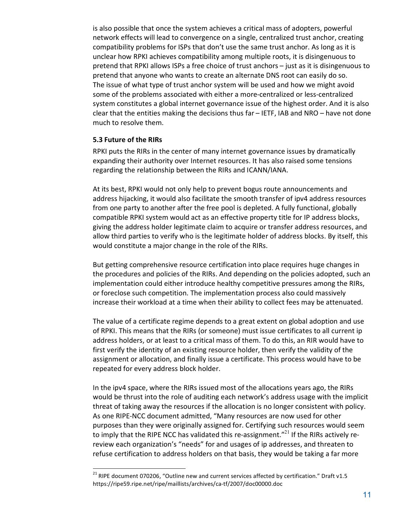is also possible that once the system achieves a critical mass of adopters, powerful network
effects
will
lead
to
convergence
on
a
single,
centralized
trust
anchor,
creating compatibility problems for ISPs that don't use the same trust anchor. As long as it is unclear how RPKI achieves compatibility among multiple roots, it is disingenuous to pretend
that
RPKI
allows
ISPs
a
free
choice
of
trust
anchors
–
just
as
it
is
disingenuous
to pretend
that
anyone
who
wants
to
create
an
alternate
DNS
root
can
easily
do
so. The issue of what type of trust anchor system will be used and how we might avoid some of the problems associated with either a more-centralized or less-centralized system constitutes a global internet governance issue of the highest order. And it is also clear that the entities making the decisions thus far - IETF, IAB and NRO - have not done much
to
resolve
them.

#### **5.3
Future
of
the
RIRs**

RPKI puts the RIRs in the center of many internet governance issues by dramatically expanding their authority over Internet resources. It has also raised some tensions regarding the relationship between the RIRs and ICANN/IANA.

At
its
best,
RPKI
would
not
only
help
to
prevent
bogus
route
announcements
and address hijacking, it would also facilitate the smooth transfer of ipv4 address resources from one party to another after the free pool is depleted. A fully functional, globally compatible RPKI system would act as an effective property title for IP address blocks, giving the address holder legitimate claim to acquire or transfer address resources, and allow third parties to verify who is the legitimate holder of address blocks. By itself, this would constitute a major change in the role of the RIRs.

But getting comprehensive resource certification into place requires huge changes in the procedures and policies of the RIRs. And depending on the policies adopted, such an implementation could either introduce healthy competitive pressures among the RIRs, or
foreclose
such
competition.
The
implementation
process
also
could
massively increase
their
workload
at
a
time
when
their
ability
to
collect
fees
may
be
attenuated.

The value of a certificate regime depends to a great extent on global adoption and use of RPKI. This means that the RIRs (or someone) must issue certificates to all current ip address holders, or at least to a critical mass of them. To do this, an RIR would have to first verify the identity of an existing resource holder, then verify the validity of the assignment or allocation, and finally issue a certificate. This process would have to be repeated
for
every
address
block
holder.

In the ipv4 space, where the RIRs issued most of the allocations years ago, the RIRs would be thrust into the role of auditing each network's address usage with the implicit threat
of
taking
away
the
resources
if
the
allocation
is
no
longer
consistent
with
policy. As
one
RIPE‐NCC
document
admitted,
"Many
resources
are
now
used
for
other purposes than they were originally assigned for. Certifying such resources would seem to imply that the RIPE NCC has validated this re-assignment."<sup>21</sup> If the RIRs actively rereview each organization's "needs" for and usages of ip addresses, and threaten to refuse certification to address holders on that basis, they would be taking a far more

<sup>&</sup>lt;sup>21</sup> RIPE document 070206, "Outline new and current services affected by certification." Draft v1.5 https://ripe59.ripe.net/ripe/maillists/archives/ca‐tf/2007/doc00000.doc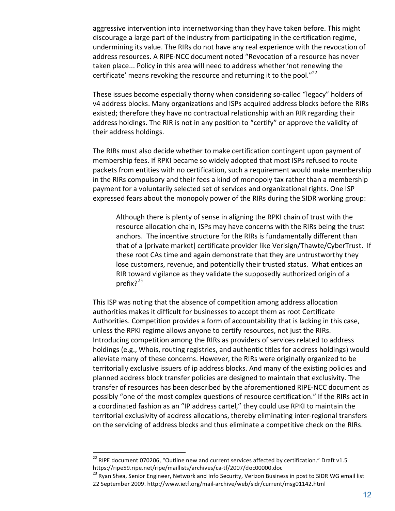aggressive intervention into internetworking than they have taken before. This might discourage a large part of the industry from participating in the certification regime, undermining its value. The RIRs do not have any real experience with the revocation of address resources. A RIPE-NCC document noted "Revocation of a resource has never taken place... Policy in this area will need to address whether 'not renewing the certificate' means revoking the resource and returning it to the pool."<sup>22</sup>

These
issues
become
especially
thorny
when
considering
so‐called
"legacy"
holders
of v4 address blocks. Many organizations and ISPs acquired address blocks before the RIRs existed; therefore they have no contractual relationship with an RIR regarding their address holdings. The RIR is not in any position to "certify" or approve the validity of their
address
holdings.

The RIRs must also decide whether to make certification contingent upon payment of membership fees. If RPKI became so widely adopted that most ISPs refused to route packets
from
entities
with
no
certification,
such
a
requirement
would
make
membership in the RIRs compulsory and their fees a kind of monopoly tax rather than a membership payment
for
a
voluntarily
selected
set
of
services
and
organizational
rights.
One
ISP expressed fears about the monopoly power of the RIRs during the SIDR working group:

Although there is plenty of sense in aligning the RPKI chain of trust with the resource allocation chain, ISPs may have concerns with the RIRs being the trust anchors. The incentive structure for the RIRs is fundamentally different than that of a [private market] certificate provider like Verisign/Thawte/CyberTrust. If these
root
CAs
time
and
again
demonstrate
that
they
are
untrustworthy
they lose customers, revenue, and potentially their trusted status. What entices an RIR
toward
vigilance
as
they
validate
the
supposedly
authorized
origin
of
a prefix? $2^{23}$ 

This
ISP
was
noting
that
the
absence
of
competition
among
address
allocation authorities makes it difficult for businesses to accept them as root Certificate Authorities. Competition provides a form of accountability that is lacking in this case, unless the RPKI regime allows anyone to certify resources, not just the RIRs. Introducing competition among the RIRs as providers of services related to address holdings (e.g., Whois, routing registries, and authentic titles for address holdings) would alleviate
many
of
these
concerns.
However,
the
RIRs
were
originally
organized
to
be territorially exclusive issuers of ip address blocks. And many of the existing policies and planned
address
block
transfer
policies
are
designed
to
maintain
that
exclusivity.
The transfer of resources has been described by the aforementioned RIPE-NCC document as possibly "one of the most complex questions of resource certification." If the RIRs act in a coordinated fashion as an "IP address cartel," they could use RPKI to maintain the territorial
exclusivity
of
address
allocations,
thereby
eliminating
inter‐regional
transfers on the servicing of address blocks and thus eliminate a competitive check on the RIRs.

<sup>&</sup>lt;sup>22</sup> RIPE document 070206, "Outline new and current services affected by certification." Draft v1.5 https://ripe59.ripe.net/ripe/maillists/archives/ca-tf/2007/doc00000.doc<br><sup>23</sup> Ryan Shea, Senior Engineer, Network and Info Security, Verizon Business in post to SIDR WG email list

<sup>22</sup>September
2009.
http://www.ietf.org/mail‐archive/web/sidr/current/msg01142.html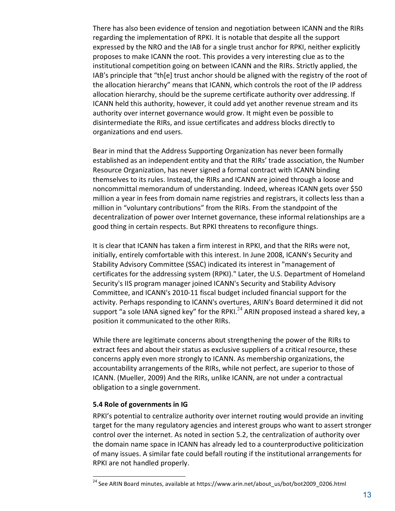There has also been evidence of tension and negotiation between ICANN and the RIRs regarding the implementation of RPKI. It is notable that despite all the support expressed by the NRO and the IAB for a single trust anchor for RPKI, neither explicitly proposes to make ICANN the root. This provides a very interesting clue as to the institutional competition going on between ICANN and the RIRs. Strictly applied, the IAB's principle that "th[e] trust anchor should be aligned with the registry of the root of the allocation hierarchy" means that ICANN, which controls the root of the IP address allocation hierarchy, should be the supreme certificate authority over addressing. If ICANN held this authority, however, it could add yet another revenue stream and its authority over internet governance would grow. It might even be possible to disintermediate the RIRs, and issue certificates and address blocks directly to organizations
and
end
users.

Bear
in
mind
that
the
Address
Supporting
Organization
has
never
been
formally established as an independent entity and that the RIRs' trade association, the Number Resource Organization, has never signed a formal contract with ICANN binding themselves to its rules. Instead, the RIRs and ICANN are joined through a loose and noncommittal memorandum of understanding. Indeed, whereas ICANN gets over \$50 million a year in fees from domain name registries and registrars, it collects less than a million in "voluntary contributions" from the RIRs. From the standpoint of the decentralization of power over Internet governance, these informal relationships are a good thing in certain respects. But RPKI threatens to reconfigure things.

It is clear that ICANN has taken a firm interest in RPKI, and that the RIRs were not, initially, entirely comfortable with this interest. In June 2008, ICANN's Security and Stability
Advisory
Committee
(SSAC)
indicated
its
interest
in
"management
of certificates for the addressing system (RPKI)." Later, the U.S. Department of Homeland Security's
IIS
program
manager
joined
ICANN's
Security
and
Stability
Advisory Committee, and ICANN's 2010-11 fiscal budget included financial support for the activity. Perhaps responding to ICANN's overtures, ARIN's Board determined it did not support "a sole IANA signed key" for the RPKI.<sup>24</sup> ARIN proposed instead a shared key, a position it communicated to the other RIRs.

While there are legitimate concerns about strengthening the power of the RIRs to extract fees and about their status as exclusive suppliers of a critical resource, these concerns
apply
even
more
strongly
to
ICANN.
As
membership
organizations,
the accountability arrangements of the RIRs, while not perfect, are superior to those of ICANN. (Mueller, 2009) And the RIRs, unlike ICANN, are not under a contractual obligation
to
a
single
government.

## **5.4
Role
of
governments
in
IG**

RPKI's potential to centralize authority over internet routing would provide an inviting target for the many regulatory agencies and interest groups who want to assert stronger control
over
the
internet.
As
noted
in
section
5.2,
the
centralization
of
authority
over the
domain
name
space
in
ICANN
has
already
led
to
a
counterproductive
politicization of many issues. A similar fate could befall routing if the institutional arrangements for RPKI
are
not
handled
properly.

<sup>&</sup>lt;sup>24</sup> See ARIN Board minutes, available at https://www.arin.net/about\_us/bot/bot2009\_0206.html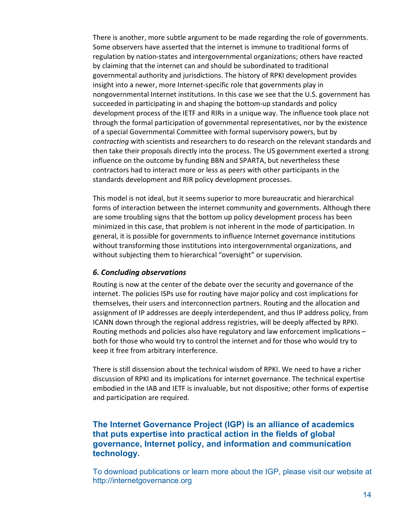There is another, more subtle argument to be made regarding the role of governments. Some observers have asserted that the internet is immune to traditional forms of regulation by nation-states and intergovernmental organizations; others have reacted by claiming that the internet can and should be subordinated to traditional governmental authority and jurisdictions. The history of RPKI development provides insight into a newer, more Internet-specific role that governments play in nongovernmental Internet institutions. In this case we see that the U.S. government has succeeded in participating in and shaping the bottom-up standards and policy development process of the IETF and RIRs in a unique way. The influence took place not through
the
formal
participation
of
governmental
representatives,
nor
by
the
existence of a special Governmental Committee with formal supervisory powers, but by contracting with scientists and researchers to do research on the relevant standards and then take their proposals directly into the process. The US government exerted a strong influence
on
the
outcome
by
funding
BBN
and
SPARTA,
but
nevertheless
these contractors had to interact more or less as peers with other participants in the standards
development
and
RIR
policy
development
processes.

This model is not ideal, but it seems superior to more bureaucratic and hierarchical forms of interaction between the internet community and governments. Although there are
some
troubling
signs
that
the
bottom
up
policy
development
process
has
been minimized in this case, that problem is not inherent in the mode of participation. In general, it is possible for governments to influence Internet governance institutions without transforming those institutions into intergovernmental organizations, and without subjecting them to hierarchical "oversight" or supervision.

## *6.
Concluding
observations*

Routing is now at the center of the debate over the security and governance of the internet. The policies ISPs use for routing have major policy and cost implications for themselves, their users and interconnection partners. Routing and the allocation and assignment of IP addresses are deeply interdependent, and thus IP address policy, from ICANN
down
through
the
regional
address
registries,
will
be
deeply
affected
by
RPKI. Routing methods and policies also have regulatory and law enforcement implications both for those who would try to control the internet and for those who would try to keep
it
free
from
arbitrary
interference.

There is still dissension about the technical wisdom of RPKI. We need to have a richer discussion of RPKI and its implications for internet governance. The technical expertise embodied in the IAB and IETF is invaluable, but not dispositive; other forms of expertise and
participation
are
required.

## **The Internet Governance Project (IGP) is an alliance of academics that puts expertise into practical action in the fields of global governance, Internet policy, and information and communication technology.**

To download publications or learn more about the IGP, please visit our website at http://internetgovernance.org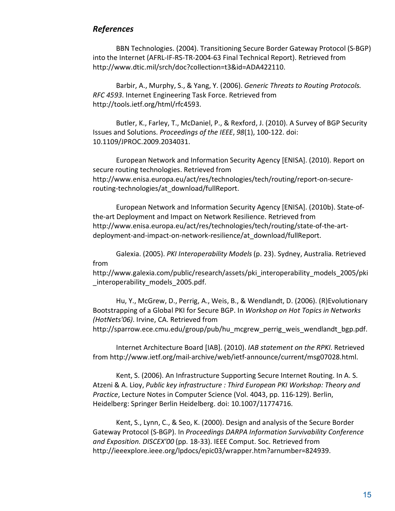## *References*

BBN
Technologies.
(2004).
Transitioning
Secure
Border
Gateway
Protocol
(S‐BGP) into the Internet (AFRL-IF-RS-TR-2004-63 Final Technical Report). Retrieved from http://www.dtic.mil/srch/doc?collection=t3&id=ADA422110.

Barbir,
A.,
Murphy,
S.,
&
Yang,
Y.
(2006). *Generic
Threats
to
Routing
Protocols. RFC
4593*.
Internet
Engineering
Task
Force.
Retrieved
from http://tools.ietf.org/html/rfc4593.

Butler, K., Farley, T., McDaniel, P., & Rexford, J. (2010). A Survey of BGP Security Issues
and
Solutions. *Proceedings
of
the
IEEE*, *98*(1),
100‐122.
doi: 10.1109/JPROC.2009.2034031.

European
Network
and
Information
Security
Agency
[ENISA].
(2010).
Report
on secure routing technologies. Retrieved from http://www.enisa.europa.eu/act/res/technologies/tech/routing/report‐on‐secure‐ routing-technologies/at download/fullReport.

European
Network
and
Information
Security
Agency
[ENISA].
(2010b).
State‐of‐ the-art Deployment and Impact on Network Resilience. Retrieved from http://www.enisa.europa.eu/act/res/technologies/tech/routing/state‐of‐the‐art‐ deployment-and-impact-on-network-resilience/at\_download/fullReport.

Galexia.
(2005). *PKI
Interoperability
Models*(p.
23).
Sydney,
Australia.
Retrieved from

http://www.galexia.com/public/research/assets/pki\_interoperability\_models\_2005/pki interoperability models 2005.pdf.

Hu, Y., McGrew, D., Perrig, A., Weis, B., & Wendlandt, D. (2006). (R)Evolutionary Bootstrapping of a Global PKI for Secure BGP. In Workshop on Hot Topics in Networks *(HotNets'06)*.
Irvine,
CA.
Retrieved
from http://sparrow.ece.cmu.edu/group/pub/hu\_mcgrew\_perrig\_weis\_wendlandt\_bgp.pdf.

Internet
Architecture
Board
[IAB].
(2010). *IAB
statement
on
the
RPKI*.
Retrieved from
http://www.ietf.org/mail‐archive/web/ietf‐announce/current/msg07028.html.

Kent, S. (2006). An Infrastructure Supporting Secure Internet Routing. In A. S. Atzeni
&
A.
Lioy, *Public
key
infrastructure
:
Third
European
PKI
Workshop:
Theory
and*  Practice, Lecture Notes in Computer Science (Vol. 4043, pp. 116-129). Berlin, Heidelberg:
Springer
Berlin
Heidelberg.
doi:
10.1007/11774716.

Kent, S., Lynn, C., & Seo, K. (2000). Design and analysis of the Secure Border Gateway
Protocol
(S‐BGP).
In *Proceedings
DARPA
Information
Survivability
Conference*  and Exposition. DISCEX'00 (pp. 18-33). IEEE Comput. Soc. Retrieved from http://ieeexplore.ieee.org/lpdocs/epic03/wrapper.htm?arnumber=824939.